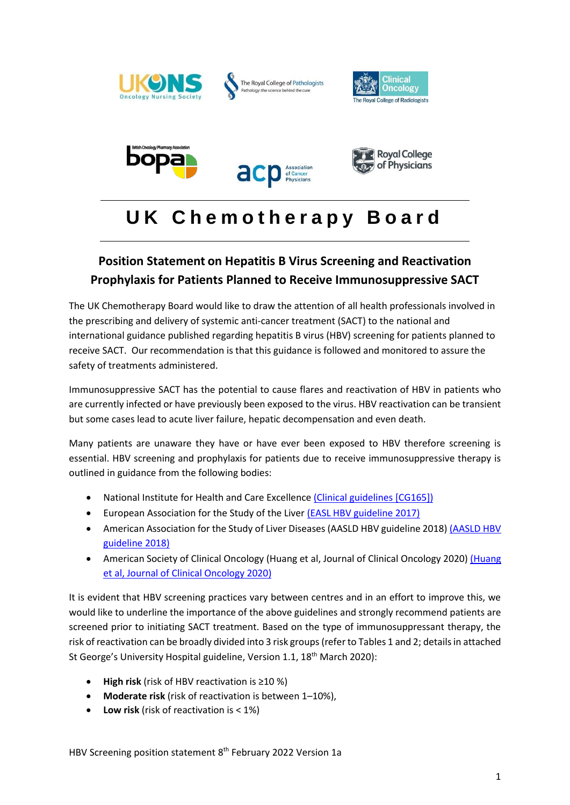

The Royal College of Pathologists









# **U K C h e m o t h e r a p y B o a r d**

# **Position Statement on Hepatitis B Virus Screening and Reactivation Prophylaxis for Patients Planned to Receive Immunosuppressive SACT**

The UK Chemotherapy Board would like to draw the attention of all health professionals involved in the prescribing and delivery of systemic anti-cancer treatment (SACT) to the national and international guidance published regarding hepatitis B virus (HBV) screening for patients planned to receive SACT. Our recommendation is that this guidance is followed and monitored to assure the safety of treatments administered.

Immunosuppressive SACT has the potential to cause flares and reactivation of HBV in patients who are currently infected or have previously been exposed to the virus. HBV reactivation can be transient but some cases lead to acute liver failure, hepatic decompensation and even death.

Many patients are unaware they have or have ever been exposed to HBV therefore screening is essential. HBV screening and prophylaxis for patients due to receive immunosuppressive therapy is outlined in guidance from the following bodies:

- National Institute for Health and Care Excellenc[e \(Clinical guidelines \[CG165\]\)](https://www.nice.org.uk/guidance/cg165)
- European Association for the Study of the Live[r \(EASL HBV guideline 2017\)](https://easl.eu/publication/easl-guidelines-management-of-hepatitis-b/)
- American Association for the Study of Liver Diseases (AASLD HBV guideline 2018) [\(AASLD HBV](https://www.aasld.org/sites/default/files/2019-06/HBVGuidance_Terrault_et_al-2018-Hepatology.pdf)  [guideline 2018\)](https://www.aasld.org/sites/default/files/2019-06/HBVGuidance_Terrault_et_al-2018-Hepatology.pdf)
- American Society of Clinical Oncology [\(Huang](https://ascopubs.org/doi/10.1200/JCO.20.01757) et al, Journal of Clinical Oncology 2020) (Huang [et al, Journal of Clinical Oncology 2020\)](https://ascopubs.org/doi/10.1200/JCO.20.01757)

It is evident that HBV screening practices vary between centres and in an effort to improve this, we would like to underline the importance of the above guidelines and strongly recommend patients are screened prior to initiating SACT treatment. Based on the type of immunosuppressant therapy, the risk of reactivation can be broadly divided into 3 risk groups (refer to Tables 1 and 2; details in attached St George's University Hospital guideline, Version 1.1, 18<sup>th</sup> March 2020):

- **High risk** (risk of HBV reactivation is ≥10 %)
- **Moderate risk** (risk of reactivation is between 1–10%),
- **Low risk** (risk of reactivation is < 1%)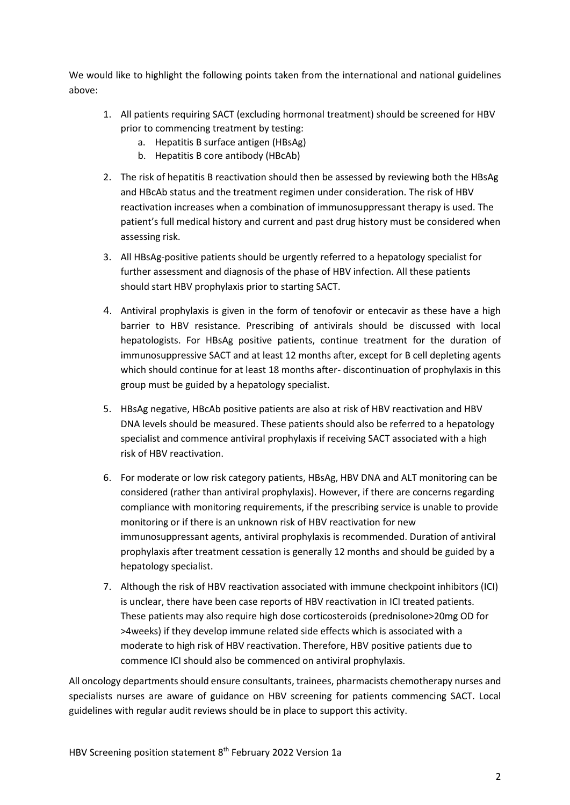We would like to highlight the following points taken from the international and national guidelines above:

- 1. All patients requiring SACT (excluding hormonal treatment) should be screened for HBV prior to commencing treatment by testing:
	- a. Hepatitis B surface antigen (HBsAg)
	- b. Hepatitis B core antibody (HBcAb)
- 2. The risk of hepatitis B reactivation should then be assessed by reviewing both the HBsAg and HBcAb status and the treatment regimen under consideration. The risk of HBV reactivation increases when a combination of immunosuppressant therapy is used. The patient's full medical history and current and past drug history must be considered when assessing risk.
- 3. All HBsAg-positive patients should be urgently referred to a hepatology specialist for further assessment and diagnosis of the phase of HBV infection. All these patients should start HBV prophylaxis prior to starting SACT.
- 4. Antiviral prophylaxis is given in the form of tenofovir or entecavir as these have a high barrier to HBV resistance. Prescribing of antivirals should be discussed with local hepatologists. For HBsAg positive patients, continue treatment for the duration of immunosuppressive SACT and at least 12 months after, except for B cell depleting agents which should continue for at least 18 months after- discontinuation of prophylaxis in this group must be guided by a hepatology specialist.
- 5. HBsAg negative, HBcAb positive patients are also at risk of HBV reactivation and HBV DNA levels should be measured. These patients should also be referred to a hepatology specialist and commence antiviral prophylaxis if receiving SACT associated with a high risk of HBV reactivation.
- 6. For moderate or low risk category patients, HBsAg, HBV DNA and ALT monitoring can be considered (rather than antiviral prophylaxis). However, if there are concerns regarding compliance with monitoring requirements, if the prescribing service is unable to provide monitoring or if there is an unknown risk of HBV reactivation for new immunosuppressant agents, antiviral prophylaxis is recommended. Duration of antiviral prophylaxis after treatment cessation is generally 12 months and should be guided by a hepatology specialist.
- 7. Although the risk of HBV reactivation associated with immune checkpoint inhibitors (ICI) is unclear, there have been case reports of HBV reactivation in ICI treated patients. These patients may also require high dose corticosteroids (prednisolone>20mg OD for >4weeks) if they develop immune related side effects which is associated with a moderate to high risk of HBV reactivation. Therefore, HBV positive patients due to commence ICI should also be commenced on antiviral prophylaxis.

All oncology departments should ensure consultants, trainees, pharmacists chemotherapy nurses and specialists nurses are aware of guidance on HBV screening for patients commencing SACT. Local guidelines with regular audit reviews should be in place to support this activity.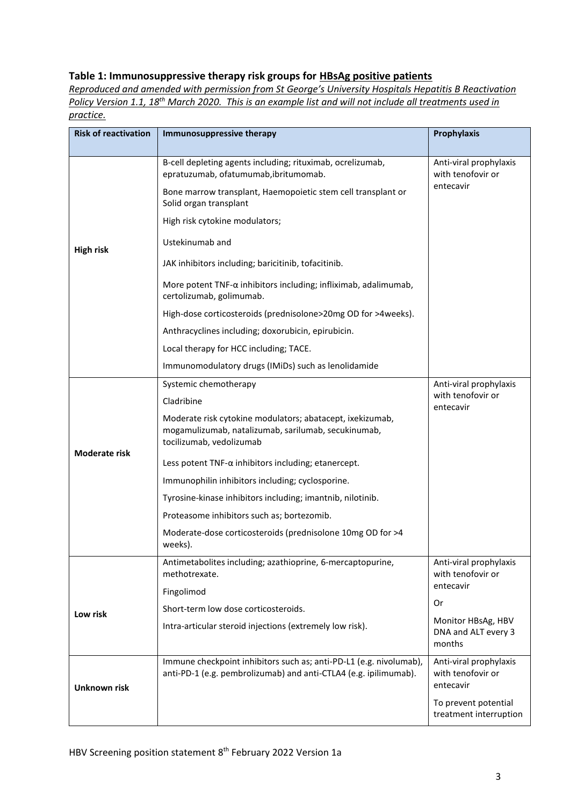## **Table 1: Immunosuppressive therapy risk groups for HBsAg positive patients**

*Reproduced and amended with permission from St George's University Hospitals Hepatitis B Reactivation Policy Version 1.1, 18th March 2020. This is an example list and will not include all treatments used in practice.*

| <b>Risk of reactivation</b> | Immunosuppressive therapy                                                                                                                    | <b>Prophylaxis</b>                                       |
|-----------------------------|----------------------------------------------------------------------------------------------------------------------------------------------|----------------------------------------------------------|
|                             |                                                                                                                                              |                                                          |
| <b>High risk</b>            | B-cell depleting agents including; rituximab, ocrelizumab,<br>epratuzumab, ofatumumab, ibritumomab.                                          | Anti-viral prophylaxis<br>with tenofovir or              |
|                             | Bone marrow transplant, Haemopoietic stem cell transplant or<br>Solid organ transplant                                                       | entecavir                                                |
|                             | High risk cytokine modulators;                                                                                                               |                                                          |
|                             | Ustekinumab and                                                                                                                              |                                                          |
|                             | JAK inhibitors including; baricitinib, tofacitinib.                                                                                          |                                                          |
|                             | More potent TNF-α inhibitors including; infliximab, adalimumab,<br>certolizumab, golimumab.                                                  |                                                          |
|                             | High-dose corticosteroids (prednisolone>20mg OD for >4weeks).                                                                                |                                                          |
|                             | Anthracyclines including; doxorubicin, epirubicin.                                                                                           |                                                          |
|                             | Local therapy for HCC including; TACE.                                                                                                       |                                                          |
|                             | Immunomodulatory drugs (IMiDs) such as lenolidamide                                                                                          |                                                          |
| <b>Moderate risk</b>        | Systemic chemotherapy                                                                                                                        | Anti-viral prophylaxis                                   |
|                             | Cladribine                                                                                                                                   | with tenofovir or<br>entecavir                           |
|                             | Moderate risk cytokine modulators; abatacept, ixekizumab,<br>mogamulizumab, natalizumab, sarilumab, secukinumab,<br>tocilizumab, vedolizumab |                                                          |
|                             | Less potent $TNF-\alpha$ inhibitors including; etanercept.                                                                                   |                                                          |
|                             | Immunophilin inhibitors including; cyclosporine.                                                                                             |                                                          |
|                             | Tyrosine-kinase inhibitors including; imantnib, nilotinib.                                                                                   |                                                          |
|                             | Proteasome inhibitors such as; bortezomib.                                                                                                   |                                                          |
|                             | Moderate-dose corticosteroids (prednisolone 10mg OD for >4<br>weeks).                                                                        |                                                          |
| Low risk                    | Antimetabolites including; azathioprine, 6-mercaptopurine,<br>methotrexate.                                                                  | Anti-viral prophylaxis<br>with tenofovir or              |
|                             | Fingolimod                                                                                                                                   | entecavir                                                |
|                             | Short-term low dose corticosteroids.                                                                                                         | 0r                                                       |
|                             | Intra-articular steroid injections (extremely low risk).                                                                                     | Monitor HBsAg, HBV<br>DNA and ALT every 3<br>months      |
| Unknown risk                | Immune checkpoint inhibitors such as; anti-PD-L1 (e.g. nivolumab),<br>anti-PD-1 (e.g. pembrolizumab) and anti-CTLA4 (e.g. ipilimumab).       | Anti-viral prophylaxis<br>with tenofovir or<br>entecavir |
|                             |                                                                                                                                              | To prevent potential<br>treatment interruption           |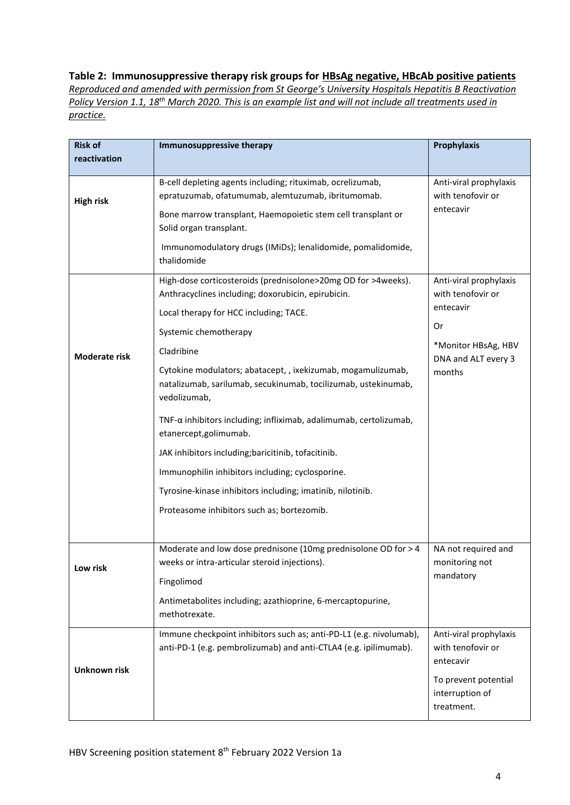### **Table 2: Immunosuppressive therapy risk groups for HBsAg negative, HBcAb positive patients**

*Reproduced and amended with permission from St George's University Hospitals Hepatitis B Reactivation Policy Version 1.1, 18th March 2020. This is an example list and will not include all treatments used in practice.*

| <b>Risk of</b>      | <b>Immunosuppressive therapy</b>                                                                                                               | Prophylaxis                                              |
|---------------------|------------------------------------------------------------------------------------------------------------------------------------------------|----------------------------------------------------------|
| reactivation        |                                                                                                                                                |                                                          |
| <b>High risk</b>    | B-cell depleting agents including; rituximab, ocrelizumab,                                                                                     | Anti-viral prophylaxis                                   |
|                     | epratuzumab, ofatumumab, alemtuzumab, ibritumomab.                                                                                             | with tenofovir or                                        |
|                     | Bone marrow transplant, Haemopoietic stem cell transplant or<br>Solid organ transplant.                                                        | entecavir                                                |
|                     | Immunomodulatory drugs (IMiDs); lenalidomide, pomalidomide,<br>thalidomide                                                                     |                                                          |
|                     | High-dose corticosteroids (prednisolone>20mg OD for >4weeks).<br>Anthracyclines including; doxorubicin, epirubicin.                            | Anti-viral prophylaxis<br>with tenofovir or              |
|                     | Local therapy for HCC including; TACE.                                                                                                         | entecavir                                                |
|                     | Systemic chemotherapy                                                                                                                          | Or                                                       |
| Moderate risk       | Cladribine                                                                                                                                     | *Monitor HBsAg, HBV<br>DNA and ALT every 3<br>months     |
|                     | Cytokine modulators; abatacept, , ixekizumab, mogamulizumab,<br>natalizumab, sarilumab, secukinumab, tocilizumab, ustekinumab,<br>vedolizumab, |                                                          |
|                     | TNF-α inhibitors including; infliximab, adalimumab, certolizumab,<br>etanercept, golimumab.                                                    |                                                          |
|                     | JAK inhibitors including; baricitinib, tofacitinib.                                                                                            |                                                          |
|                     | Immunophilin inhibitors including; cyclosporine.                                                                                               |                                                          |
|                     | Tyrosine-kinase inhibitors including; imatinib, nilotinib.                                                                                     |                                                          |
|                     | Proteasome inhibitors such as; bortezomib.                                                                                                     |                                                          |
|                     |                                                                                                                                                |                                                          |
| Low risk            | Moderate and low dose prednisone (10mg prednisolone OD for > 4<br>weeks or intra-articular steroid injections).                                | NA not required and<br>monitoring not                    |
|                     | Fingolimod                                                                                                                                     | mandatory                                                |
|                     | Antimetabolites including; azathioprine, 6-mercaptopurine,<br>methotrexate.                                                                    |                                                          |
|                     | Immune checkpoint inhibitors such as; anti-PD-L1 (e.g. nivolumab),<br>anti-PD-1 (e.g. pembrolizumab) and anti-CTLA4 (e.g. ipilimumab).         | Anti-viral prophylaxis<br>with tenofovir or<br>entecavir |
| <b>Unknown risk</b> |                                                                                                                                                | To prevent potential<br>interruption of<br>treatment.    |